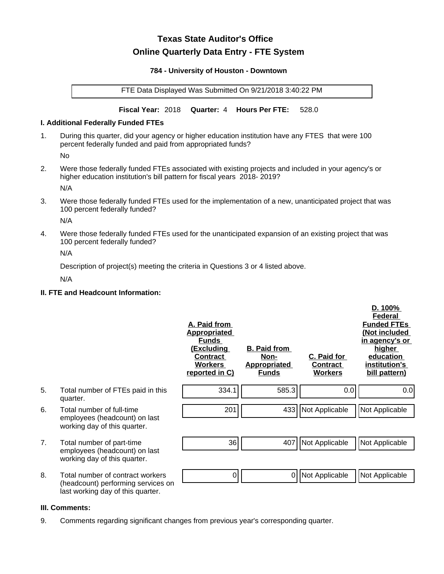# **Texas State Auditor's Office Online Quarterly Data Entry - FTE System**

#### **784 - University of Houston - Downtown**

FTE Data Displayed Was Submitted On 9/21/2018 3:40:22 PM

**Fiscal Year:** 2018 **Quarter:** 4 **Hours Per FTE:** 528.0

#### **I. Additional Federally Funded FTEs**

1. During this quarter, did your agency or higher education institution have any FTES that were 100 percent federally funded and paid from appropriated funds?

No

2. Were those federally funded FTEs associated with existing projects and included in your agency's or higher education institution's bill pattern for fiscal years 2018- 2019?

N/A

3. Were those federally funded FTEs used for the implementation of a new, unanticipated project that was 100 percent federally funded?

N/A

4. Were those federally funded FTEs used for the unanticipated expansion of an existing project that was 100 percent federally funded?

N/A

Description of project(s) meeting the criteria in Questions 3 or 4 listed above.

N/A

## **II. FTE and Headcount Information:**

|    |                                                                                                             | A. Paid from<br><u>Appropriated</u><br><b>Funds</b><br><u>(Excluding</u><br><b>Contract</b><br><b>Workers</b><br>reported in C) | <b>B. Paid from</b><br>Non-<br><b>Appropriated</b><br><b>Funds</b> | C. Paid for<br>Contract<br><b>Workers</b> | D. 100%<br>Federal<br><b>Funded FTEs</b><br>(Not included<br>in agency's or<br>higher<br>education<br>institution's<br>bill pattern) |
|----|-------------------------------------------------------------------------------------------------------------|---------------------------------------------------------------------------------------------------------------------------------|--------------------------------------------------------------------|-------------------------------------------|--------------------------------------------------------------------------------------------------------------------------------------|
| 5. | Total number of FTEs paid in this<br>quarter.                                                               | 334.1                                                                                                                           | 585.3                                                              | 0.0                                       | 0.0                                                                                                                                  |
| 6. | Total number of full-time<br>employees (headcount) on last<br>working day of this quarter.                  | 201                                                                                                                             |                                                                    | 433 Not Applicable                        | Not Applicable                                                                                                                       |
| 7. | Total number of part-time<br>employees (headcount) on last<br>working day of this quarter.                  | 36                                                                                                                              | 407                                                                | Not Applicable                            | Not Applicable                                                                                                                       |
| 8. | Total number of contract workers<br>(headcount) performing services on<br>last working day of this quarter. | 0                                                                                                                               | 0                                                                  | Not Applicable                            | Not Applicable                                                                                                                       |

#### **III. Comments:**

9. Comments regarding significant changes from previous year's corresponding quarter.